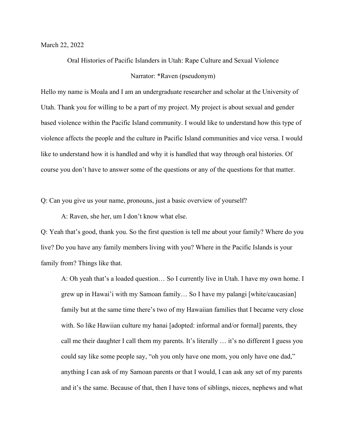March 22, 2022

Oral Histories of Pacific Islanders in Utah: Rape Culture and Sexual Violence Narrator: \*Raven (pseudonym)

Hello my name is Moala and I am an undergraduate researcher and scholar at the University of Utah. Thank you for willing to be a part of my project. My project is about sexual and gender based violence within the Pacific Island community. I would like to understand how this type of violence affects the people and the culture in Pacific Island communities and vice versa. I would like to understand how it is handled and why it is handled that way through oral histories. Of course you don't have to answer some of the questions or any of the questions for that matter.

Q: Can you give us your name, pronouns, just a basic overview of yourself?

A: Raven, she her, um I don't know what else.

Q: Yeah that's good, thank you. So the first question is tell me about your family? Where do you live? Do you have any family members living with you? Where in the Pacific Islands is your family from? Things like that.

A: Oh yeah that's a loaded question… So I currently live in Utah. I have my own home. I grew up in Hawai'i with my Samoan family… So I have my palangi [white/caucasian] family but at the same time there's two of my Hawaiian families that I became very close with. So like Hawiian culture my hanai [adopted: informal and/or formal] parents, they call me their daughter I call them my parents. It's literally … it's no different I guess you could say like some people say, "oh you only have one mom, you only have one dad," anything I can ask of my Samoan parents or that I would, I can ask any set of my parents and it's the same. Because of that, then I have tons of siblings, nieces, nephews and what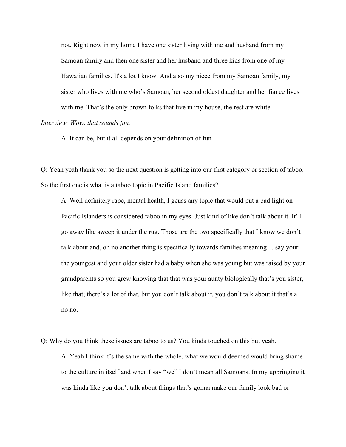not. Right now in my home I have one sister living with me and husband from my Samoan family and then one sister and her husband and three kids from one of my Hawaiian families. It's a lot I know. And also my niece from my Samoan family, my sister who lives with me who's Samoan, her second oldest daughter and her fiance lives with me. That's the only brown folks that live in my house, the rest are white.

### *Interview: Wow, that sounds fun.*

A: It can be, but it all depends on your definition of fun

Q: Yeah yeah thank you so the next question is getting into our first category or section of taboo. So the first one is what is a taboo topic in Pacific Island families?

A: Well definitely rape, mental health, I geuss any topic that would put a bad light on Pacific Islanders is considered taboo in my eyes. Just kind of like don't talk about it. It'll go away like sweep it under the rug. Those are the two specifically that I know we don't talk about and, oh no another thing is specifically towards families meaning… say your the youngest and your older sister had a baby when she was young but was raised by your grandparents so you grew knowing that that was your aunty biologically that's you sister, like that; there's a lot of that, but you don't talk about it, you don't talk about it that's a no no.

Q: Why do you think these issues are taboo to us? You kinda touched on this but yeah. A: Yeah I think it's the same with the whole, what we would deemed would bring shame to the culture in itself and when I say "we" I don't mean all Samoans. In my upbringing it was kinda like you don't talk about things that's gonna make our family look bad or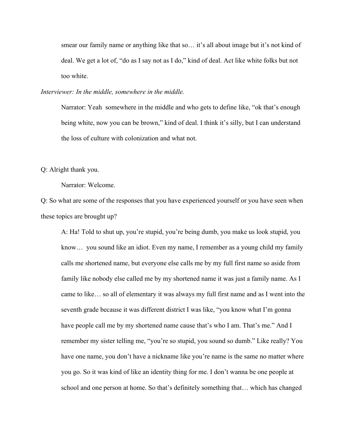smear our family name or anything like that so… it's all about image but it's not kind of deal. We get a lot of, "do as I say not as I do," kind of deal. Act like white folks but not too white.

*Interviewer: In the middle, somewhere in the middle.*

Narrator: Yeah somewhere in the middle and who gets to define like, "ok that's enough being white, now you can be brown," kind of deal. I think it's silly, but I can understand the loss of culture with colonization and what not.

Q: Alright thank you.

Narrator: Welcome.

Q: So what are some of the responses that you have experienced yourself or you have seen when these topics are brought up?

A: Ha! Told to shut up, you're stupid, you're being dumb, you make us look stupid, you know… you sound like an idiot. Even my name, I remember as a young child my family calls me shortened name, but everyone else calls me by my full first name so aside from family like nobody else called me by my shortened name it was just a family name. As I came to like… so all of elementary it was always my full first name and as I went into the seventh grade because it was different district I was like, "you know what I'm gonna have people call me by my shortened name cause that's who I am. That's me." And I remember my sister telling me, "you're so stupid, you sound so dumb." Like really? You have one name, you don't have a nickname like you're name is the same no matter where you go. So it was kind of like an identity thing for me. I don't wanna be one people at school and one person at home. So that's definitely something that… which has changed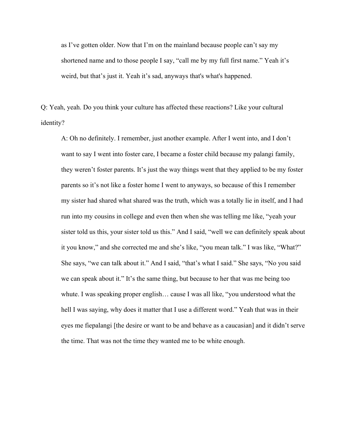as I've gotten older. Now that I'm on the mainland because people can't say my shortened name and to those people I say, "call me by my full first name." Yeah it's weird, but that's just it. Yeah it's sad, anyways that's what's happened.

Q: Yeah, yeah. Do you think your culture has affected these reactions? Like your cultural identity?

A: Oh no definitely. I remember, just another example. After I went into, and I don't want to say I went into foster care, I became a foster child because my palangi family, they weren't foster parents. It's just the way things went that they applied to be my foster parents so it's not like a foster home I went to anyways, so because of this I remember my sister had shared what shared was the truth, which was a totally lie in itself, and I had run into my cousins in college and even then when she was telling me like, "yeah your sister told us this, your sister told us this." And I said, "well we can definitely speak about it you know," and she corrected me and she's like, "you mean talk." I was like, "What?" She says, "we can talk about it." And I said, "that's what I said." She says, "No you said we can speak about it." It's the same thing, but because to her that was me being too whute. I was speaking proper english… cause I was all like, "you understood what the hell I was saying, why does it matter that I use a different word." Yeah that was in their eyes me fiepalangi [the desire or want to be and behave as a caucasian] and it didn't serve the time. That was not the time they wanted me to be white enough.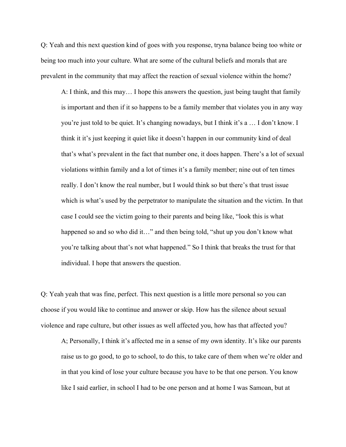Q: Yeah and this next question kind of goes with you response, tryna balance being too white or being too much into your culture. What are some of the cultural beliefs and morals that are prevalent in the community that may affect the reaction of sexual violence within the home?

A: I think, and this may… I hope this answers the question, just being taught that family is important and then if it so happens to be a family member that violates you in any way you're just told to be quiet. It's changing nowadays, but I think it's a … I don't know. I think it it's just keeping it quiet like it doesn't happen in our community kind of deal that's what's prevalent in the fact that number one, it does happen. There's a lot of sexual violations witthin family and a lot of times it's a family member; nine out of ten times really. I don't know the real number, but I would think so but there's that trust issue which is what's used by the perpetrator to manipulate the situation and the victim. In that case I could see the victim going to their parents and being like, "look this is what happened so and so who did it..." and then being told, "shut up you don't know what you're talking about that's not what happened." So I think that breaks the trust for that individual. I hope that answers the question.

Q: Yeah yeah that was fine, perfect. This next question is a little more personal so you can choose if you would like to continue and answer or skip. How has the silence about sexual violence and rape culture, but other issues as well affected you, how has that affected you?

A; Personally, I think it's affected me in a sense of my own identity. It's like our parents raise us to go good, to go to school, to do this, to take care of them when we're older and in that you kind of lose your culture because you have to be that one person. You know like I said earlier, in school I had to be one person and at home I was Samoan, but at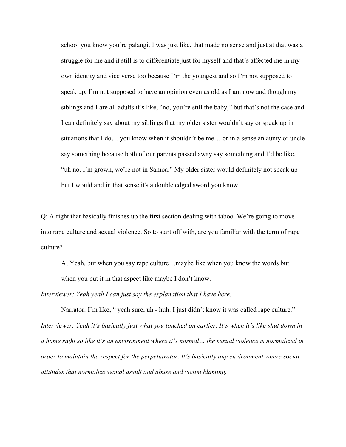school you know you're palangi. I was just like, that made no sense and just at that was a struggle for me and it still is to differentiate just for myself and that's affected me in my own identity and vice verse too because I'm the youngest and so I'm not supposed to speak up, I'm not supposed to have an opinion even as old as I am now and though my siblings and I are all adults it's like, "no, you're still the baby," but that's not the case and I can definitely say about my siblings that my older sister wouldn't say or speak up in situations that I do… you know when it shouldn't be me… or in a sense an aunty or uncle say something because both of our parents passed away say something and I'd be like, "uh no. I'm grown, we're not in Samoa." My older sister would definitely not speak up but I would and in that sense it's a double edged sword you know.

Q: Alright that basically finishes up the first section dealing with taboo. We're going to move into rape culture and sexual violence. So to start off with, are you familiar with the term of rape culture?

A; Yeah, but when you say rape culture…maybe like when you know the words but when you put it in that aspect like maybe I don't know.

*Interviewer: Yeah yeah I can just say the explanation that I have here.*

Narrator: I'm like, " yeah sure, uh - huh. I just didn't know it was called rape culture." *Interviewer: Yeah it's basically just what you touched on earlier. It's when it's like shut down in a home right so like it's an environment where it's normal… the sexual violence is normalized in order to maintain the respect for the perpetutrator. It's basically any environment where social attitudes that normalize sexual assult and abuse and victim blaming.*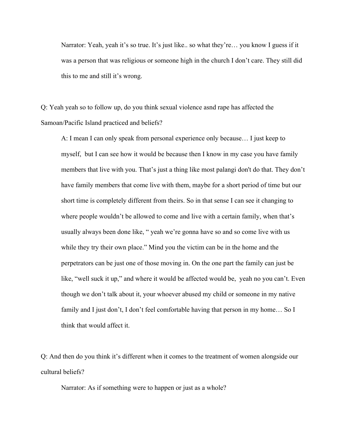Narrator: Yeah, yeah it's so true. It's just like.. so what they're... you know I guess if it was a person that was religious or someone high in the church I don't care. They still did this to me and still it's wrong.

Q: Yeah yeah so to follow up, do you think sexual violence asnd rape has affected the Samoan/Pacific Island practiced and beliefs?

A: I mean I can only speak from personal experience only because… I just keep to myself, but I can see how it would be because then I know in my case you have family members that live with you. That's just a thing like most palangi don't do that. They don't have family members that come live with them, maybe for a short period of time but our short time is completely different from theirs. So in that sense I can see it changing to where people wouldn't be allowed to come and live with a certain family, when that's usually always been done like, " yeah we're gonna have so and so come live with us while they try their own place." Mind you the victim can be in the home and the perpetrators can be just one of those moving in. On the one part the family can just be like, "well suck it up," and where it would be affected would be, yeah no you can't. Even though we don't talk about it, your whoever abused my child or someone in my native family and I just don't, I don't feel comfortable having that person in my home… So I think that would affect it.

Q: And then do you think it's different when it comes to the treatment of women alongside our cultural beliefs?

Narrator: As if something were to happen or just as a whole?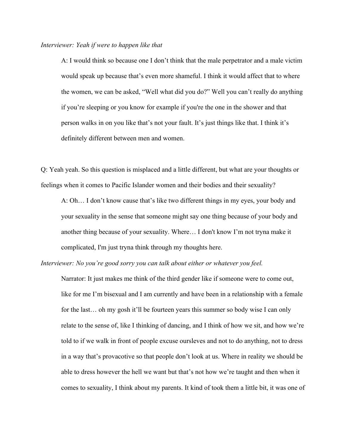#### *Interviewer: Yeah if were to happen like that*

A: I would think so because one I don't think that the male perpetrator and a male victim would speak up because that's even more shameful. I think it would affect that to where the women, we can be asked, "Well what did you do?" Well you can't really do anything if you're sleeping or you know for example if you're the one in the shower and that person walks in on you like that's not your fault. It's just things like that. I think it's definitely different between men and women.

Q: Yeah yeah. So this question is misplaced and a little different, but what are your thoughts or feelings when it comes to Pacific Islander women and their bodies and their sexuality?

A: Oh… I don't know cause that's like two different things in my eyes, your body and your sexuality in the sense that someone might say one thing because of your body and another thing because of your sexuality. Where… I don't know I'm not tryna make it complicated, I'm just tryna think through my thoughts here.

*Interviewer: No you're good sorry you can talk about either or whatever you feel.*

Narrator: It just makes me think of the third gender like if someone were to come out, like for me I'm bisexual and I am currently and have been in a relationship with a female for the last… oh my gosh it'll be fourteen years this summer so body wise I can only relate to the sense of, like I thinking of dancing, and I think of how we sit, and how we're told to if we walk in front of people excuse oursleves and not to do anything, not to dress in a way that's provacotive so that people don't look at us. Where in reality we should be able to dress however the hell we want but that's not how we're taught and then when it comes to sexuality, I think about my parents. It kind of took them a little bit, it was one of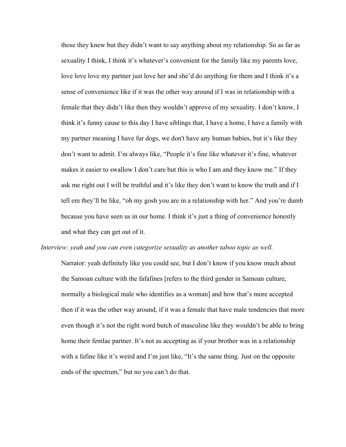those they knew but they didn't want to say anything about my relationship. So as far as sexuality I think, I think it's whatever's convenient for the family like my parents love, love love love my partner just love her and she'd do anything for them and I think it's a sense of convenience like if it was the other way around if I was in relationship with a female that they didn't like then they wouldn't approve of my sexuality. I don't know, I think it's funny cause to this day I have siblings that, I have a home, I have a family with my partner meaning I have fur dogs, we don't have any human babies, but it's like they don't want to admit. I'm always like, "People it's fine like whatever it's fine, whatever makes it easier to swallow I don't care but this is who I am and they know me." If they ask me right out I will be truthful and it's like they don't want to know the truth and if I tell em they'll be like, "oh my gosh you are in a relationship with her." And you're dumb because you have seen us in our home. I think it's just a thing of convenience honestly and what they can get out of it.

# *Interview: yeah and you can even categorize sexuality as another taboo topic as well.*

Narrator: yeah definitely like you could see, but I don't know if you know much about the Samoan culture with the fafafines [refers to the third gender in Samoan culture, normally a biological male who identifies as a woman] and how that's more accepted then if it was the other way around, if it was a female that have male tendencies that more even though it's not the right word butch of masculine like they wouldn't be able to bring home their femlae partner. It's not as accepting as if your brother was in a relationship with a fafine like it's weird and I'm just like, "It's the same thing. Just on the opposite ends of the spectrum," but no you can't do that.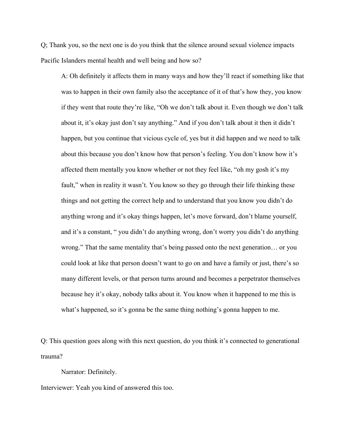Q; Thank you, so the next one is do you think that the silence around sexual violence impacts Pacific Islanders mental health and well being and how so?

A: Oh definitely it affects them in many ways and how they'll react if something like that was to happen in their own family also the acceptance of it of that's how they, you know if they went that route they're like, "Oh we don't talk about it. Even though we don't talk about it, it's okay just don't say anything." And if you don't talk about it then it didn't happen, but you continue that vicious cycle of, yes but it did happen and we need to talk about this because you don't know how that person's feeling. You don't know how it's affected them mentally you know whether or not they feel like, "oh my gosh it's my fault," when in reality it wasn't. You know so they go through their life thinking these things and not getting the correct help and to understand that you know you didn't do anything wrong and it's okay things happen, let's move forward, don't blame yourself, and it's a constant, " you didn't do anything wrong, don't worry you didn't do anything wrong." That the same mentality that's being passed onto the next generation… or you could look at like that person doesn't want to go on and have a family or just, there's so many different levels, or that person turns around and becomes a perpetrator themselves because hey it's okay, nobody talks about it. You know when it happened to me this is what's happened, so it's gonna be the same thing nothing's gonna happen to me.

Q: This question goes along with this next question, do you think it's connected to generational trauma?

Narrator: Definitely.

Interviewer: Yeah you kind of answered this too.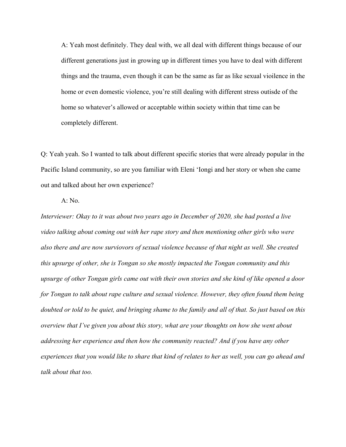A: Yeah most definitely. They deal with, we all deal with different things because of our different generations just in growing up in different times you have to deal with different things and the trauma, even though it can be the same as far as like sexual vioilence in the home or even domestic violence, you're still dealing with different stress outisde of the home so whatever's allowed or acceptable within society within that time can be completely different.

Q: Yeah yeah. So I wanted to talk about different specific stories that were already popular in the Pacific Island community, so are you familiar with Eleni 'Iongi and her story or when she came out and talked about her own experience?

### A: No.

*Interviewer: Okay to it was about two years ago in December of 2020, she had posted a live video talking about coming out with her rape story and then mentioning other girls who were also there and are now surviovors of sexual violence because of that night as well. She created this upsurge of other, she is Tongan so she mostly impacted the Tongan community and this upsurge of other Tongan girls came out with their own stories and she kind of like opened a door for Tongan to talk about rape culture and sexual violence. However, they often found them being doubted or told to be quiet, and bringing shame to the family and all of that. So just based on this overview that I've given you about this story, what are your thoughts on how she went about addressing her experience and then how the community reacted? And if you have any other experiences that you would like to share that kind of relates to her as well, you can go ahead and talk about that too.*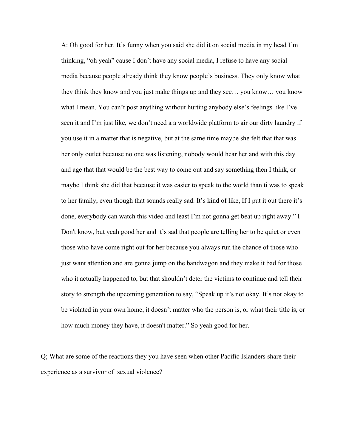A: Oh good for her. It's funny when you said she did it on social media in my head I'm thinking, "oh yeah" cause I don't have any social media, I refuse to have any social media because people already think they know people's business. They only know what they think they know and you just make things up and they see… you know… you know what I mean. You can't post anything without hurting anybody else's feelings like I've seen it and I'm just like, we don't need a a worldwide platform to air our dirty laundry if you use it in a matter that is negative, but at the same time maybe she felt that that was her only outlet because no one was listening, nobody would hear her and with this day and age that that would be the best way to come out and say something then I think, or maybe I think she did that because it was easier to speak to the world than ti was to speak to her family, even though that sounds really sad. It's kind of like, If I put it out there it's done, everybody can watch this video and least I'm not gonna get beat up right away." I Don't know, but yeah good her and it's sad that people are telling her to be quiet or even those who have come right out for her because you always run the chance of those who just want attention and are gonna jump on the bandwagon and they make it bad for those who it actually happened to, but that shouldn't deter the victims to continue and tell their story to strength the upcoming generation to say, "Speak up it's not okay. It's not okay to be violated in your own home, it doesn't matter who the person is, or what their title is, or how much money they have, it doesn't matter." So yeah good for her.

Q; What are some of the reactions they you have seen when other Pacific Islanders share their experience as a survivor of sexual violence?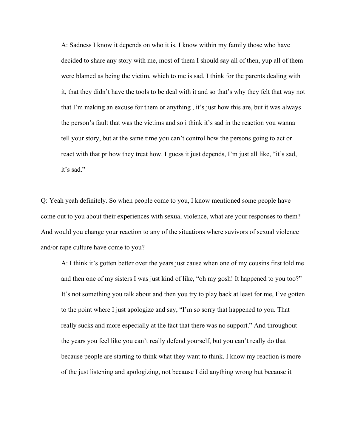A: Sadness I know it depends on who it is. I know within my family those who have decided to share any story with me, most of them I should say all of then, yup all of them were blamed as being the victim, which to me is sad. I think for the parents dealing with it, that they didn't have the tools to be deal with it and so that's why they felt that way not that I'm making an excuse for them or anything , it's just how this are, but it was always the person's fault that was the victims and so i think it's sad in the reaction you wanna tell your story, but at the same time you can't control how the persons going to act or react with that pr how they treat how. I guess it just depends, I'm just all like, "it's sad, it's sad."

Q: Yeah yeah definitely. So when people come to you, I know mentioned some people have come out to you about their experiences with sexual violence, what are your responses to them? And would you change your reaction to any of the situations where suvivors of sexual violence and/or rape culture have come to you?

A: I think it's gotten better over the years just cause when one of my cousins first told me and then one of my sisters I was just kind of like, "oh my gosh! It happened to you too?" It's not something you talk about and then you try to play back at least for me, I've gotten to the point where I just apologize and say, "I'm so sorry that happened to you. That really sucks and more especially at the fact that there was no support." And throughout the years you feel like you can't really defend yourself, but you can't really do that because people are starting to think what they want to think. I know my reaction is more of the just listening and apologizing, not because I did anything wrong but because it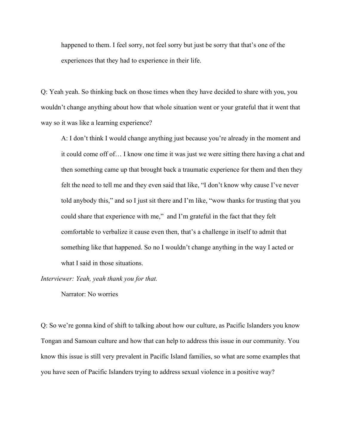happened to them. I feel sorry, not feel sorry but just be sorry that that's one of the experiences that they had to experience in their life.

Q: Yeah yeah. So thinking back on those times when they have decided to share with you, you wouldn't change anything about how that whole situation went or your grateful that it went that way so it was like a learning experience?

A: I don't think I would change anything just because you're already in the moment and it could come off of… I know one time it was just we were sitting there having a chat and then something came up that brought back a traumatic experience for them and then they felt the need to tell me and they even said that like, "I don't know why cause I've never told anybody this," and so I just sit there and I'm like, "wow thanks for trusting that you could share that experience with me," and I'm grateful in the fact that they felt comfortable to verbalize it cause even then, that's a challenge in itself to admit that something like that happened. So no I wouldn't change anything in the way I acted or what I said in those situations.

*Interviewer: Yeah, yeah thank you for that.*

Narrator: No worries

Q: So we're gonna kind of shift to talking about how our culture, as Pacific Islanders you know Tongan and Samoan culture and how that can help to address this issue in our community. You know this issue is still very prevalent in Pacific Island families, so what are some examples that you have seen of Pacific Islanders trying to address sexual violence in a positive way?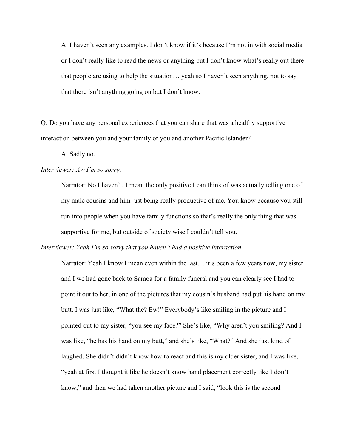A: I haven't seen any examples. I don't know if it's because I'm not in with social media or I don't really like to read the news or anything but I don't know what's really out there that people are using to help the situation… yeah so I haven't seen anything, not to say that there isn't anything going on but I don't know.

Q: Do you have any personal experiences that you can share that was a healthy supportive interaction between you and your family or you and another Pacific Islander?

A: Sadly no.

### *Interviewer: Aw I'm so sorry.*

Narrator: No I haven't, I mean the only positive I can think of was actually telling one of my male cousins and him just being really productive of me. You know because you still run into people when you have family functions so that's really the only thing that was supportive for me, but outside of society wise I couldn't tell you.

*Interviewer: Yeah I'm so sorry that you haven't had a positive interaction.*

Narrator: Yeah I know I mean even within the last... it's been a few years now, my sister and I we had gone back to Samoa for a family funeral and you can clearly see I had to point it out to her, in one of the pictures that my cousin's husband had put his hand on my butt. I was just like, "What the? Ew!" Everybody's like smiling in the picture and I pointed out to my sister, "you see my face?" She's like, "Why aren't you smiling? And I was like, "he has his hand on my butt," and she's like, "What?" And she just kind of laughed. She didn't didn't know how to react and this is my older sister; and I was like, "yeah at first I thought it like he doesn't know hand placement correctly like I don't know," and then we had taken another picture and I said, "look this is the second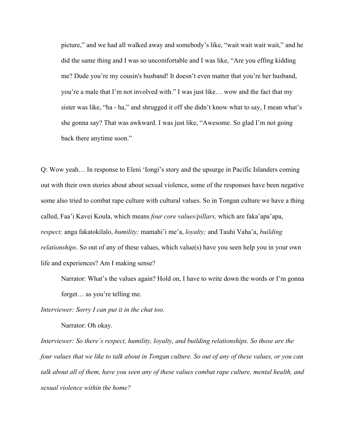picture," and we had all walked away and somebody's like, "wait wait wait wait," and he did the same thing and I was so uncomfortable and I was like, "Are you effing kidding me? Dude you're my cousin's husband! It doesn't even matter that you're her husband, you're a male that I'm not involved with." I was just like… wow and the fact that my sister was like, "ha - ha," and shrugged it off she didn't know what to say, I mean what's she gonna say? That was awkward. I was just like, "Awesome. So glad I'm not going back there anytime soon."

Q: Wow yeah… In response to Eleni 'Iongi's story and the upsurge in Pacific Islanders coming out with their own stories about about sexual violence, some of the responses have been negative some also tried to combat rape culture with cultural values. So in Tongan culture we have a thing called, Faa'i Kavei Koula, which means *four core values/pillars,* which are faka'apa'apa, *respect;* anga fakatokilalo, *humility;* mamahi'i me'a, *loyalty;* and Tauhi Vaha'a, *building relationships*. So out of any of these values, which value(s) have you seen help you in your own life and experiences? Am I making sense?

Narrator: What's the values again? Hold on, I have to write down the words or I'm gonna forget… as you're telling me.

*Interviewer: Sorry I can put it in the chat too.*

Narrator: Oh okay.

*Interviewer: So there's respect, humility, loyalty, and building relationships. So those are the four values that we like to talk about in Tongan culture. So out of any of these values, or you can talk about all of them, have you seen any of these values combat rape culture, mental health, and sexual violence within the home?*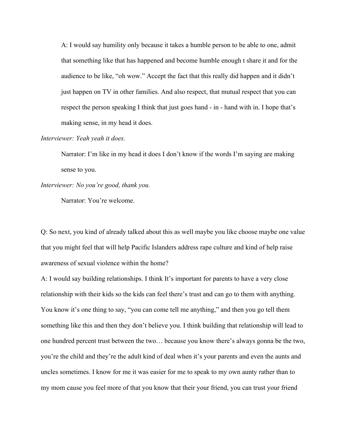A: I would say humility only because it takes a humble person to be able to one, admit that something like that has happened and become humble enough t share it and for the audience to be like, "oh wow." Accept the fact that this really did happen and it didn't just happen on TV in other families. And also respect, that mutual respect that you can respect the person speaking I think that just goes hand - in - hand with in. I hope that's making sense, in my head it does.

#### *Interviewer: Yeah yeah it does.*

Narrator: I'm like in my head it does I don't know if the words I'm saying are making sense to you.

## *Interviewer: No you're good, thank you.*

Narrator: You're welcome.

Q: So next, you kind of already talked about this as well maybe you like choose maybe one value that you might feel that will help Pacific Islanders address rape culture and kind of help raise awareness of sexual violence within the home?

A: I would say building relationships. I think It's important for parents to have a very close relationship with their kids so the kids can feel there's trust and can go to them with anything. You know it's one thing to say, "you can come tell me anything," and then you go tell them something like this and then they don't believe you. I think building that relationship will lead to one hundred percent trust between the two… because you know there's always gonna be the two, you're the child and they're the adult kind of deal when it's your parents and even the aunts and uncles sometimes. I know for me it was easier for me to speak to my own aunty rather than to my mom cause you feel more of that you know that their your friend, you can trust your friend